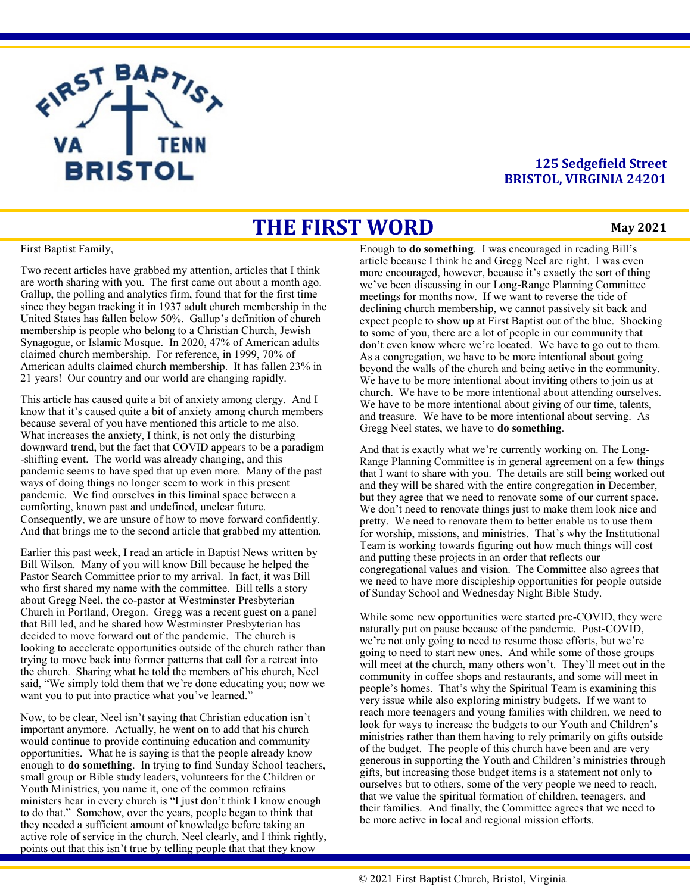

### **125 Sedgefield Street BRISTOL, VIRGINIA 24201**

## **THE FIRST WORD**

#### **May 2021**

First Baptist Family,

Two recent articles have grabbed my attention, articles that I think are worth sharing with you. The first came out about a month ago. Gallup, the polling and analytics firm, found that for the first time since they began tracking it in 1937 adult church membership in the United States has fallen below 50%. Gallup's definition of church membership is people who belong to a Christian Church, Jewish Synagogue, or Islamic Mosque. In 2020, 47% of American adults claimed church membership. For reference, in 1999, 70% of American adults claimed church membership. It has fallen 23% in 21 years! Our country and our world are changing rapidly.

This article has caused quite a bit of anxiety among clergy. And I know that it's caused quite a bit of anxiety among church members because several of you have mentioned this article to me also. What increases the anxiety, I think, is not only the disturbing downward trend, but the fact that COVID appears to be a paradigm -shifting event. The world was already changing, and this pandemic seems to have sped that up even more. Many of the past ways of doing things no longer seem to work in this present pandemic. We find ourselves in this liminal space between a comforting, known past and undefined, unclear future. Consequently, we are unsure of how to move forward confidently. And that brings me to the second article that grabbed my attention.

Earlier this past week, I read an article in Baptist News written by Bill Wilson. Many of you will know Bill because he helped the Pastor Search Committee prior to my arrival. In fact, it was Bill who first shared my name with the committee. Bill tells a story about Gregg Neel, the co-pastor at Westminster Presbyterian Church in Portland, Oregon. Gregg was a recent guest on a panel that Bill led, and he shared how Westminster Presbyterian has decided to move forward out of the pandemic. The church is looking to accelerate opportunities outside of the church rather than trying to move back into former patterns that call for a retreat into the church. Sharing what he told the members of his church, Neel said, "We simply told them that we're done educating you; now we want you to put into practice what you've learned."

Now, to be clear, Neel isn't saying that Christian education isn't important anymore. Actually, he went on to add that his church would continue to provide continuing education and community opportunities. What he is saying is that the people already know enough to **do something**. In trying to find Sunday School teachers, small group or Bible study leaders, volunteers for the Children or Youth Ministries, you name it, one of the common refrains ministers hear in every church is "I just don't think I know enough to do that." Somehow, over the years, people began to think that they needed a sufficient amount of knowledge before taking an active role of service in the church. Neel clearly, and I think rightly, points out that this isn't true by telling people that that they know

Enough to **do something**. I was encouraged in reading Bill's article because I think he and Gregg Neel are right. I was even more encouraged, however, because it's exactly the sort of thing we've been discussing in our Long-Range Planning Committee meetings for months now. If we want to reverse the tide of declining church membership, we cannot passively sit back and expect people to show up at First Baptist out of the blue. Shocking to some of you, there are a lot of people in our community that don't even know where we're located. We have to go out to them. As a congregation, we have to be more intentional about going beyond the walls of the church and being active in the community. We have to be more intentional about inviting others to join us at church. We have to be more intentional about attending ourselves. We have to be more intentional about giving of our time, talents, and treasure. We have to be more intentional about serving. As Gregg Neel states, we have to **do something**.

And that is exactly what we're currently working on. The Long-Range Planning Committee is in general agreement on a few things that I want to share with you. The details are still being worked out and they will be shared with the entire congregation in December, but they agree that we need to renovate some of our current space. We don't need to renovate things just to make them look nice and pretty. We need to renovate them to better enable us to use them for worship, missions, and ministries. That's why the Institutional Team is working towards figuring out how much things will cost and putting these projects in an order that reflects our congregational values and vision. The Committee also agrees that we need to have more discipleship opportunities for people outside of Sunday School and Wednesday Night Bible Study.

While some new opportunities were started pre-COVID, they were naturally put on pause because of the pandemic. Post-COVID, we're not only going to need to resume those efforts, but we're going to need to start new ones. And while some of those groups will meet at the church, many others won't. They'll meet out in the community in coffee shops and restaurants, and some will meet in people's homes. That's why the Spiritual Team is examining this very issue while also exploring ministry budgets. If we want to reach more teenagers and young families with children, we need to look for ways to increase the budgets to our Youth and Children's ministries rather than them having to rely primarily on gifts outside of the budget. The people of this church have been and are very generous in supporting the Youth and Children's ministries through gifts, but increasing those budget items is a statement not only to ourselves but to others, some of the very people we need to reach, that we value the spiritual formation of children, teenagers, and their families. And finally, the Committee agrees that we need to be more active in local and regional mission efforts.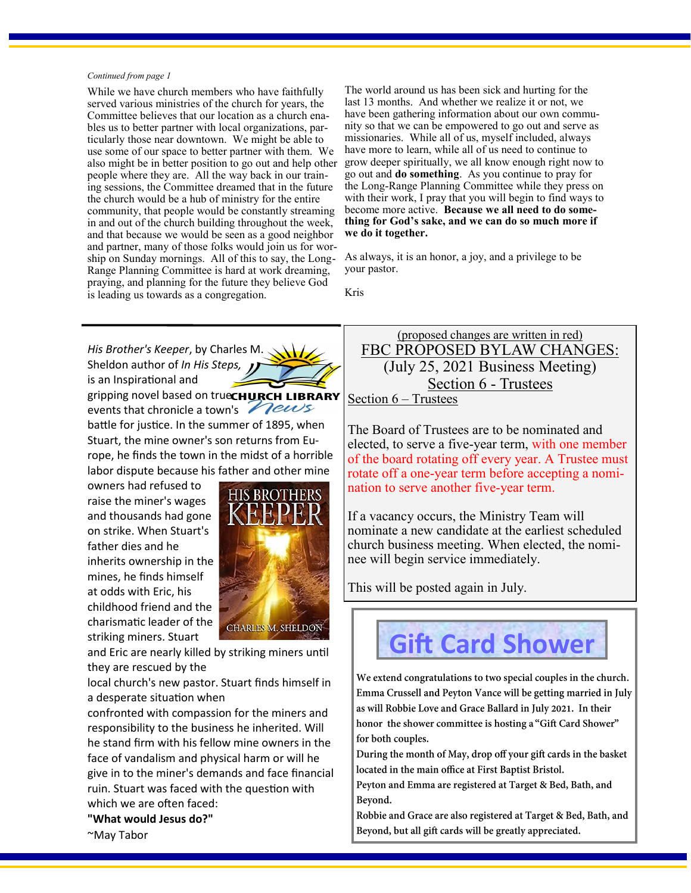#### *Continued from page 1*

While we have church members who have faithfully served various ministries of the church for years, the Committee believes that our location as a church enables us to better partner with local organizations, particularly those near downtown. We might be able to use some of our space to better partner with them. We people where they are. All the way back in our training sessions, the Committee dreamed that in the future the church would be a hub of ministry for the entire community, that people would be constantly streaming in and out of the church building throughout the week, and that because we would be seen as a good neighbor and partner, many of those folks would join us for worship on Sunday mornings. All of this to say, the Long-Range Planning Committee is hard at work dreaming, praying, and planning for the future they believe God is leading us towards as a congregation.

The world around us has been sick and hurting for the last 13 months. And whether we realize it or not, we have been gathering information about our own community so that we can be empowered to go out and serve as missionaries. While all of us, myself included, always have more to learn, while all of us need to continue to also might be in better position to go out and help other grow deeper spiritually, we all know enough right now to go out and **do something**. As you continue to pray for the Long-Range Planning Committee while they press on with their work, I pray that you will begin to find ways to become more active. **Because we all need to do something for God's sake, and we can do so much more if we do it together.** 

> As always, it is an honor, a joy, and a privilege to be your pastor.

Kris

*His Brother's Keeper*, by Charles M. Sheldon author of *In His Steps,*  is an Inspirational and gripping novel based on trueCHURCH LIBRARY events that chronicle a town's Pews battle for justice. In the summer of 1895, when Stuart, the mine owner's son returns from Europe, he finds the town in the midst of a horrible labor dispute because his father and other mine

owners had refused to raise the miner's wages and thousands had gone on strike. When Stuart's father dies and he inherits ownership in the mines, he finds himself at odds with Eric, his childhood friend and the charismatic leader of the striking miners. Stuart



and Eric are nearly killed by striking miners until they are rescued by the

local church's new pastor. Stuart finds himself in a desperate situation when

confronted with compassion for the miners and responsibility to the business he inherited. Will he stand firm with his fellow mine owners in the face of vandalism and physical harm or will he give in to the miner's demands and face financial ruin. Stuart was faced with the question with which we are often faced:

### **"What would Jesus do?"**

~May Tabor

FBC PROPOSED BYLAW CHANGES: (July 25, 2021 Business Meeting) Section 6 - Trustees Section 6 – Trustees

(proposed changes are written in red)

The Board of Trustees are to be nominated and elected, to serve a five-year term, with one member of the board rotating off every year. A Trustee must rotate off a one-year term before accepting a nomination to serve another five-year term.

If a vacancy occurs, the Ministry Team will nominate a new candidate at the earliest scheduled church business meeting. When elected, the nominee will begin service immediately.

This will be posted again in July.

# **Gift Card Shower**

We extend congratulations to two special couples in the church. Emma Crussell and Peyton Vance will be getting married in July as will Robbie Love and Grace Ballard in July 2021. In their honor the shower committee is hosting a "Gift Card Shower" for both couples.

During the month of May, drop off your gift cards in the basket located in the main office at First Baptist Bristol.

Peyton and Emma are registered at Target & Bed, Bath, and Beyond.

Robbie and Grace are also registered at Target & Bed, Bath, and Beyond, but all gift cards will be greatly appreciated.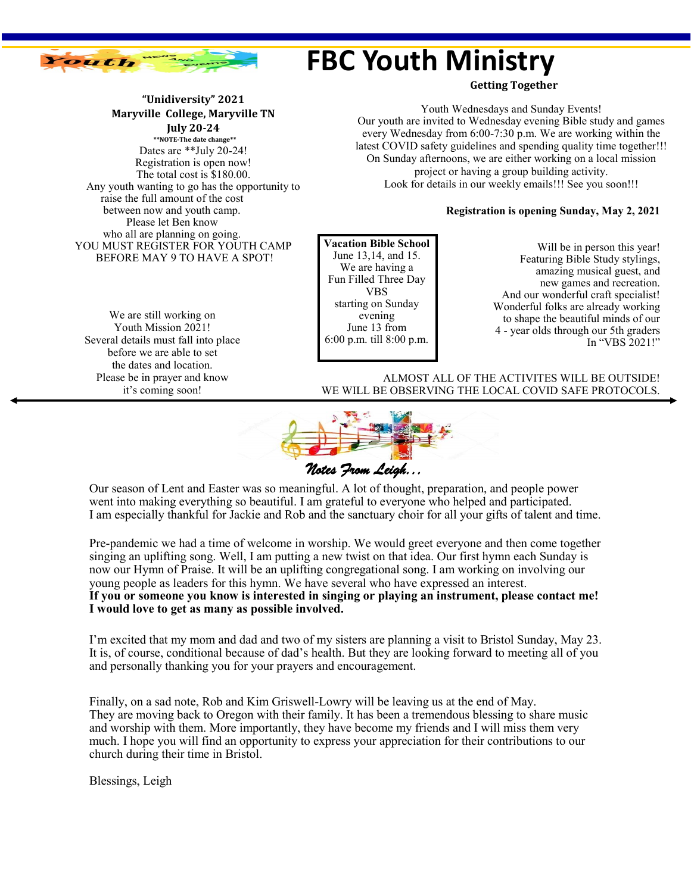

## **FBC Youth Ministry**

**Getting Together**

Youth Wednesdays and Sunday Events! Our youth are invited to Wednesday evening Bible study and games every Wednesday from 6:00-7:30 p.m. We are working within the latest COVID safety guidelines and spending quality time together!!! On Sunday afternoons, we are either working on a local mission project or having a group building activity. Look for details in our weekly emails!!! See you soon!!!

### **Registration is opening Sunday, May 2, 2021**

**Vacation Bible School** June 13,14, and 15. We are having a Fun Filled Three Day VBS starting on Sunday evening June 13 from 6:00 p.m. till 8:00 p.m.

Will be in person this year! Featuring Bible Study stylings, amazing musical guest, and new games and recreation. And our wonderful craft specialist! Wonderful folks are already working to shape the beautiful minds of our 4 - year olds through our 5th graders In "VBS 2021!"

ALMOST ALL OF THE ACTIVITES WILL BE OUTSIDE! WE WILL BE OBSERVING THE LOCAL COVID SAFE PROTOCOLS.



Our season of Lent and Easter was so meaningful. A lot of thought, preparation, and people power went into making everything so beautiful. I am grateful to everyone who helped and participated. I am especially thankful for Jackie and Rob and the sanctuary choir for all your gifts of talent and time.

Pre-pandemic we had a time of welcome in worship. We would greet everyone and then come together singing an uplifting song. Well, I am putting a new twist on that idea. Our first hymn each Sunday is now our Hymn of Praise. It will be an uplifting congregational song. I am working on involving our young people as leaders for this hymn. We have several who have expressed an interest. **If you or someone you know is interested in singing or playing an instrument, please contact me! I would love to get as many as possible involved.**

I'm excited that my mom and dad and two of my sisters are planning a visit to Bristol Sunday, May 23. It is, of course, conditional because of dad's health. But they are looking forward to meeting all of you and personally thanking you for your prayers and encouragement.

Finally, on a sad note, Rob and Kim Griswell-Lowry will be leaving us at the end of May. They are moving back to Oregon with their family. It has been a tremendous blessing to share music and worship with them. More importantly, they have become my friends and I will miss them very much. I hope you will find an opportunity to express your appreciation for their contributions to our church during their time in Bristol.

Blessings, Leigh

**July 20-24 \*\*NOTE-The date change\*\*** Dates are \*\*July 20-24! Registration is open now! The total cost is \$180.00. Any youth wanting to go has the opportunity to raise the full amount of the cost between now and youth camp. Please let Ben know who all are planning on going. YOU MUST REGISTER FOR YOUTH CAMP BEFORE MAY 9 TO HAVE A SPOT!

**"Unidiversity" 2021 Maryville College, Maryville TN**

We are still working on Youth Mission 2021! Several details must fall into place before we are able to set the dates and location. Please be in prayer and know it's coming soon!